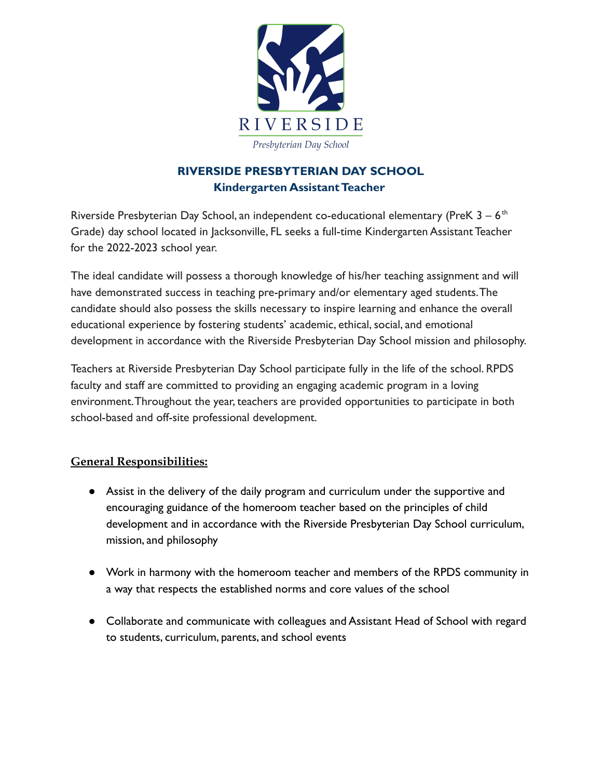

## **RIVERSIDE PRESBYTERIAN DAY SCHOOL Kindergarten Assistant Teacher**

Riverside Presbyterian Day School, an independent co-educational elementary (PreK  $3 - 6$ <sup>th</sup> Grade) day school located in Jacksonville, FL seeks a full-time Kindergarten Assistant Teacher for the 2022-2023 school year.

The ideal candidate will possess a thorough knowledge of his/her teaching assignment and will have demonstrated success in teaching pre-primary and/or elementary aged students.The candidate should also possess the skills necessary to inspire learning and enhance the overall educational experience by fostering students' academic, ethical, social, and emotional development in accordance with the Riverside Presbyterian Day School mission and philosophy.

Teachers at Riverside Presbyterian Day School participate fully in the life of the school. RPDS faculty and staff are committed to providing an engaging academic program in a loving environment.Throughout the year, teachers are provided opportunities to participate in both school-based and off-site professional development.

## **General Responsibilities:**

- Assist in the delivery of the daily program and curriculum under the supportive and encouraging guidance of the homeroom teacher based on the principles of child development and in accordance with the Riverside Presbyterian Day School curriculum, mission, and philosophy
- Work in harmony with the homeroom teacher and members of the RPDS community in a way that respects the established norms and core values of the school
- Collaborate and communicate with colleagues and Assistant Head of School with regard to students, curriculum, parents, and school events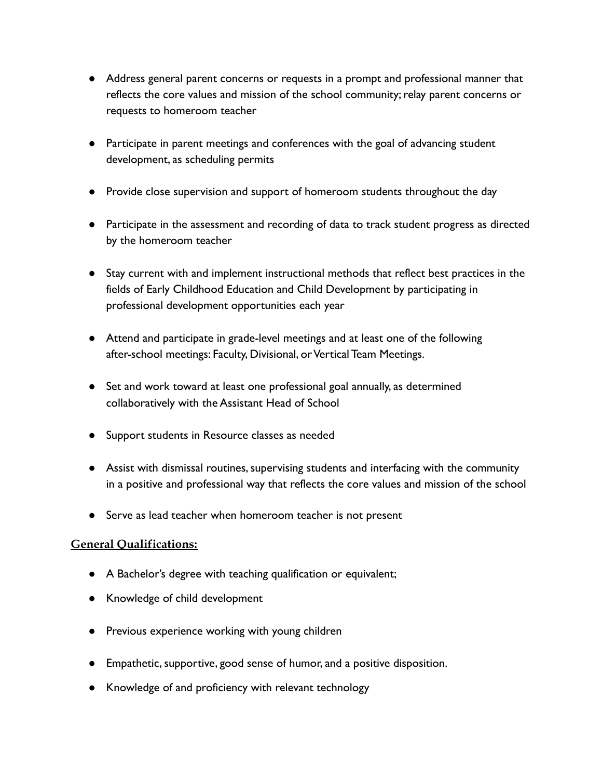- Address general parent concerns or requests in a prompt and professional manner that reflects the core values and mission of the school community; relay parent concerns or requests to homeroom teacher
- Participate in parent meetings and conferences with the goal of advancing student development, as scheduling permits
- Provide close supervision and support of homeroom students throughout the day
- Participate in the assessment and recording of data to track student progress as directed by the homeroom teacher
- Stay current with and implement instructional methods that reflect best practices in the fields of Early Childhood Education and Child Development by participating in professional development opportunities each year
- Attend and participate in grade-level meetings and at least one of the following after-school meetings: Faculty, Divisional, or Vertical Team Meetings.
- Set and work toward at least one professional goal annually, as determined collaboratively with the Assistant Head of School
- Support students in Resource classes as needed
- Assist with dismissal routines, supervising students and interfacing with the community in a positive and professional way that reflects the core values and mission of the school
- Serve as lead teacher when homeroom teacher is not present

## **General Qualifications:**

- A Bachelor's degree with teaching qualification or equivalent;
- Knowledge of child development
- Previous experience working with young children
- Empathetic, supportive, good sense of humor, and a positive disposition.
- Knowledge of and proficiency with relevant technology